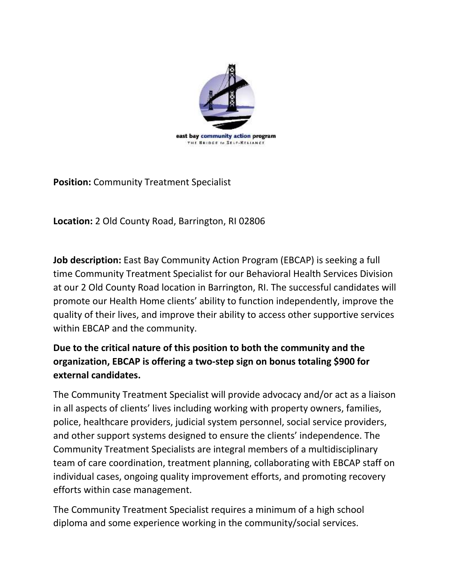

**Position:** Community Treatment Specialist

**Location:** 2 Old County Road, Barrington, RI 02806

**Job description:** East Bay Community Action Program (EBCAP) is seeking a full time Community Treatment Specialist for our Behavioral Health Services Division at our 2 Old County Road location in Barrington, RI. The successful candidates will promote our Health Home clients' ability to function independently, improve the quality of their lives, and improve their ability to access other supportive services within EBCAP and the community.

## **Due to the critical nature of this position to both the community and the organization, EBCAP is offering a two-step sign on bonus totaling \$900 for external candidates.**

The Community Treatment Specialist will provide advocacy and/or act as a liaison in all aspects of clients' lives including working with property owners, families, police, healthcare providers, judicial system personnel, social service providers, and other support systems designed to ensure the clients' independence. The Community Treatment Specialists are integral members of a multidisciplinary team of care coordination, treatment planning, collaborating with EBCAP staff on individual cases, ongoing quality improvement efforts, and promoting recovery efforts within case management.

The Community Treatment Specialist requires a minimum of a high school diploma and some experience working in the community/social services.